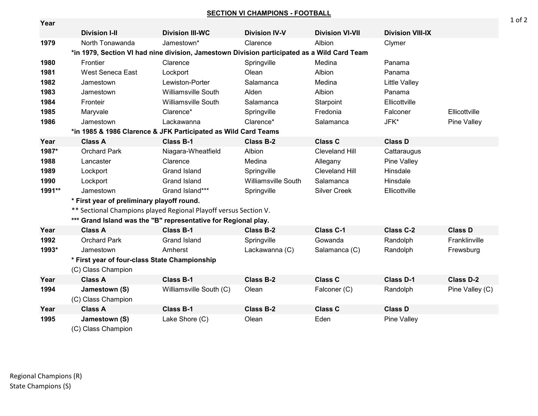**SECTION VI CHAMPIONS - FOOTBALL**

| Year   |                                                                                             |                            |                      |                        |                         |                    |  |  |  |
|--------|---------------------------------------------------------------------------------------------|----------------------------|----------------------|------------------------|-------------------------|--------------------|--|--|--|
|        | <b>Division I-II</b>                                                                        | <b>Division III-WC</b>     | <b>Division IV-V</b> | <b>Division VI-VII</b> | <b>Division VIII-IX</b> |                    |  |  |  |
| 1979   | North Tonawanda                                                                             | Jamestown*                 | Clarence             | Albion                 | Clymer                  |                    |  |  |  |
|        | *in 1979, Section VI had nine division, Jamestown Division participated as a Wild Card Team |                            |                      |                        |                         |                    |  |  |  |
| 1980   | Frontier                                                                                    | Clarence                   | Springville          | Medina                 | Panama                  |                    |  |  |  |
| 1981   | West Seneca East                                                                            | Lockport                   | Olean                | Albion                 | Panama                  |                    |  |  |  |
| 1982   | Jamestown                                                                                   | Lewiston-Porter            | Salamanca            | Medina                 | <b>Little Valley</b>    |                    |  |  |  |
| 1983   | Jamestown                                                                                   | <b>Williamsville South</b> | Alden                | Albion                 | Panama                  |                    |  |  |  |
| 1984   | Fronteir                                                                                    | <b>Williamsville South</b> | Salamanca            | Starpoint              | Ellicottville           |                    |  |  |  |
| 1985   | Maryvale                                                                                    | Clarence*                  | Springville          | Fredonia               | Falconer                | Ellicottville      |  |  |  |
| 1986   | Jamestown                                                                                   | Lackawanna                 | Clarence*            | Salamanca              | JFK*                    | <b>Pine Valley</b> |  |  |  |
|        | *in 1985 & 1986 Clarence & JFK Participated as Wild Card Teams                              |                            |                      |                        |                         |                    |  |  |  |
| Year   | <b>Class A</b>                                                                              | <b>Class B-1</b>           | <b>Class B-2</b>     | <b>Class C</b>         | <b>Class D</b>          |                    |  |  |  |
| 1987*  | <b>Orchard Park</b>                                                                         | Niagara-Wheatfield         | Albion               | <b>Cleveland Hill</b>  | Cattaraugus             |                    |  |  |  |
| 1988   | Lancaster                                                                                   | Clarence                   | Medina               | Allegany               | Pine Valley             |                    |  |  |  |
| 1989   | Lockport                                                                                    | <b>Grand Island</b>        | Springville          | <b>Cleveland Hill</b>  | Hinsdale                |                    |  |  |  |
| 1990   | Lockport                                                                                    | <b>Grand Island</b>        | Williamsville South  | Salamanca              | Hinsdale                |                    |  |  |  |
| 1991** | Jamestown                                                                                   | Grand Island***            | Springville          | <b>Silver Creek</b>    | Ellicottville           |                    |  |  |  |
|        | * First year of preliminary playoff round.                                                  |                            |                      |                        |                         |                    |  |  |  |
|        | ** Sectional Champions played Regional Playoff versus Section V.                            |                            |                      |                        |                         |                    |  |  |  |
|        | *** Grand Island was the "B" representative for Regional play.                              |                            |                      |                        |                         |                    |  |  |  |
| Year   | <b>Class A</b>                                                                              | <b>Class B-1</b>           | <b>Class B-2</b>     | <b>Class C-1</b>       | <b>Class C-2</b>        | <b>Class D</b>     |  |  |  |
| 1992   | <b>Orchard Park</b>                                                                         | <b>Grand Island</b>        | Springville          | Gowanda                | Randolph                | Franklinville      |  |  |  |
| 1993*  | Jamestown                                                                                   | Amherst                    | Lackawanna (C)       | Salamanca (C)          | Randolph                | Frewsburg          |  |  |  |
|        | * First year of four-class State Championship                                               |                            |                      |                        |                         |                    |  |  |  |
|        | (C) Class Champion                                                                          |                            |                      |                        |                         |                    |  |  |  |
| Year   | <b>Class A</b>                                                                              | <b>Class B-1</b>           | <b>Class B-2</b>     | <b>Class C</b>         | <b>Class D-1</b>        | <b>Class D-2</b>   |  |  |  |
| 1994   | Jamestown (S)                                                                               | Williamsville South (C)    | Olean                | Falconer (C)           | Randolph                | Pine Valley (C)    |  |  |  |
|        | (C) Class Champion                                                                          |                            |                      |                        |                         |                    |  |  |  |
| Year   | <b>Class A</b>                                                                              | <b>Class B-1</b>           | <b>Class B-2</b>     | <b>Class C</b>         | <b>Class D</b>          |                    |  |  |  |
| 1995   | Jamestown (S)                                                                               | Lake Shore (C)             | Olean                | Eden                   | Pine Valley             |                    |  |  |  |
|        | $($ $\cap$ $\cap$ $\cap$ $\cap$ $\cap$ $\cap$ $\cap$ $\cap$                                 |                            |                      |                        |                         |                    |  |  |  |

(C) Class Champion